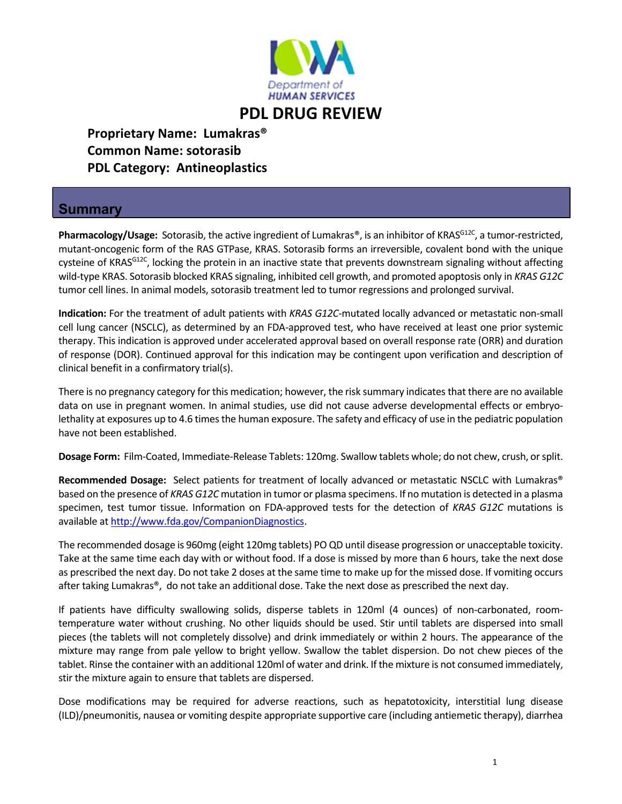

## **PDL DRUG REVIEW**

 **Proprietary Name: Lumakras® Common Name: sotorasib PDL Category: Antineoplastics**

## **Summary**

Pharmacology/Usage: Sotorasib, the active ingredient of Lumakras®, is an inhibitor of KRAS<sup>G12C</sup>, a tumor-restricted, mutant‐oncogenic form of the RAS GTPase, KRAS. Sotorasib forms an irreversible, covalent bond with the unique cysteine of KRAS<sup>G12C</sup>, locking the protein in an inactive state that prevents downstream signaling without affecting wild‐type KRAS. Sotorasib blocked KRAS signaling, inhibited cell growth, and promoted apoptosis only in *KRAS G12C* tumor cell lines. In animal models, sotorasib treatment led to tumor regressions and prolonged survival.

**Indication:** For the treatment of adult patients with *KRAS G12C*‐mutated locally advanced or metastatic non‐small cell lung cancer (NSCLC), as determined by an FDA‐approved test, who have received at least one prior systemic therapy. This indication is approved under accelerated approval based on overall response rate (ORR) and duration of response (DOR). Continued approval for this indication may be contingent upon verification and description of clinical benefit in a confirmatory trial(s).

There is no pregnancy category for this medication; however, the risk summary indicates that there are no available data on use in pregnant women. In animal studies, use did not cause adverse developmental effects or embryolethality at exposures up to 4.6 times the human exposure. The safety and efficacy of use in the pediatric population have not been established.

**Dosage Form:** Film‐Coated, Immediate‐Release Tablets: 120mg. Swallow tablets whole; do not chew, crush, orsplit.

**Recommended Dosage:** Select patients for treatment of locally advanced or metastatic NSCLC with Lumakras® based on the presence of *KRAS G12C* mutation in tumor or plasma specimens. If no mutation is detected in a plasma specimen, test tumor tissue. Information on FDA‐approved tests for the detection of *KRAS G12C* mutations is available at http://www.fda.gov/CompanionDiagnostics.

The recommended dosage is 960mg (eight 120mg tablets) PO QD until disease progression or unacceptable toxicity. Take at the same time each day with or without food. If a dose is missed by more than 6 hours, take the next dose as prescribed the next day. Do not take 2 doses at the same time to make up for the missed dose. If vomiting occurs after taking Lumakras®, do not take an additional dose. Take the next dose as prescribed the next day.

If patients have difficulty swallowing solids, disperse tablets in 120ml (4 ounces) of non-carbonated, roomtemperature water without crushing. No other liquids should be used. Stir until tablets are dispersed into small pieces (the tablets will not completely dissolve) and drink immediately or within 2 hours. The appearance of the mixture may range from pale yellow to bright yellow. Swallow the tablet dispersion. Do not chew pieces of the tablet. Rinse the container with an additional 120ml of water and drink. If the mixture is not consumed immediately, stir the mixture again to ensure that tablets are dispersed.

Dose modifications may be required for adverse reactions, such as hepatotoxicity, interstitial lung disease (ILD)/pneumonitis, nausea or vomiting despite appropriate supportive care (including antiemetic therapy), diarrhea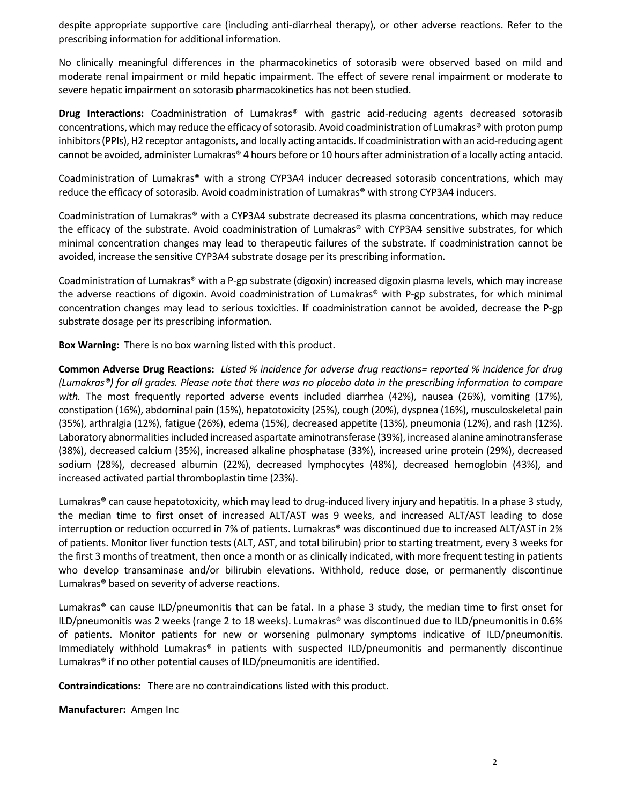despite appropriate supportive care (including anti‐diarrheal therapy), or other adverse reactions. Refer to the prescribing information for additional information.

No clinically meaningful differences in the pharmacokinetics of sotorasib were observed based on mild and moderate renal impairment or mild hepatic impairment. The effect of severe renal impairment or moderate to severe hepatic impairment on sotorasib pharmacokinetics has not been studied.

**Drug Interactions:** Coadministration of Lumakras® with gastric acid‐reducing agents decreased sotorasib concentrations, which may reduce the efficacy of sotorasib. Avoid coadministration of Lumakras® with proton pump inhibitors (PPIs), H2 receptor antagonists, and locally acting antacids. If coadministration with an acid-reducing agent cannot be avoided, administer Lumakras® 4 hours before or 10 hours after administration of a locally acting antacid.

Coadministration of Lumakras® with a strong CYP3A4 inducer decreased sotorasib concentrations, which may reduce the efficacy of sotorasib. Avoid coadministration of Lumakras® with strong CYP3A4 inducers.

Coadministration of Lumakras® with a CYP3A4 substrate decreased its plasma concentrations, which may reduce the efficacy of the substrate. Avoid coadministration of Lumakras® with CYP3A4 sensitive substrates, for which minimal concentration changes may lead to therapeutic failures of the substrate. If coadministration cannot be avoided, increase the sensitive CYP3A4 substrate dosage per its prescribing information.

Coadministration of Lumakras® with a P‐gp substrate (digoxin) increased digoxin plasma levels, which may increase the adverse reactions of digoxin. Avoid coadministration of Lumakras® with P‐gp substrates, for which minimal concentration changes may lead to serious toxicities. If coadministration cannot be avoided, decrease the P‐gp substrate dosage per its prescribing information.

**Box Warning:** There is no box warning listed with this product.

Common Adverse Drug Reactions: Listed % incidence for adverse drug reactions= reported % incidence for drug (Lumakras®) for all grades. Please note that there was no placebo data in the prescribing information to compare *with.* The most frequently reported adverse events included diarrhea (42%), nausea (26%), vomiting (17%), constipation (16%), abdominal pain (15%), hepatotoxicity (25%), cough (20%), dyspnea (16%), musculoskeletal pain (35%), arthralgia (12%), fatigue (26%), edema (15%), decreased appetite (13%), pneumonia (12%), and rash (12%). Laboratory abnormalities included increased aspartate aminotransferase (39%), increased alanine aminotransferase (38%), decreased calcium (35%), increased alkaline phosphatase (33%), increased urine protein (29%), decreased sodium (28%), decreased albumin (22%), decreased lymphocytes (48%), decreased hemoglobin (43%), and increased activated partial thromboplastin time (23%).

Lumakras® can cause hepatotoxicity, which may lead to drug-induced livery injury and hepatitis. In a phase 3 study, the median time to first onset of increased ALT/AST was 9 weeks, and increased ALT/AST leading to dose interruption or reduction occurred in 7% of patients. Lumakras® was discontinued due to increased ALT/AST in 2% of patients. Monitor liver function tests (ALT, AST, and total bilirubin) prior to starting treatment, every 3 weeks for the first 3 months of treatment, then once a month or as clinically indicated, with more frequent testing in patients who develop transaminase and/or bilirubin elevations. Withhold, reduce dose, or permanently discontinue Lumakras® based on severity of adverse reactions.

Lumakras® can cause ILD/pneumonitis that can be fatal. In a phase 3 study, the median time to first onset for ILD/pneumonitis was 2 weeks (range 2 to 18 weeks). Lumakras® was discontinued due to ILD/pneumonitis in 0.6% of patients. Monitor patients for new or worsening pulmonary symptoms indicative of ILD/pneumonitis. Immediately withhold Lumakras® in patients with suspected ILD/pneumonitis and permanently discontinue Lumakras® if no other potential causes of ILD/pneumonitis are identified.

**Contraindications:** There are no contraindications listed with this product.

**Manufacturer:** Amgen Inc